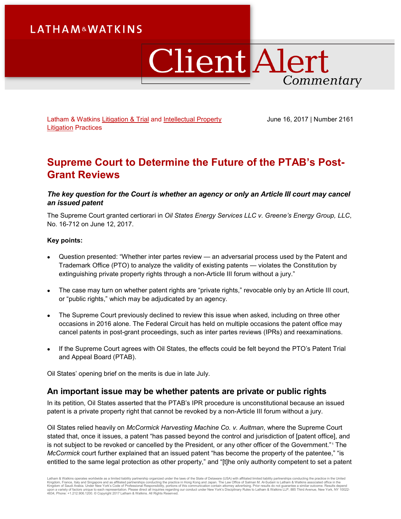# **LATHAM&WATKINS**

# **Client Alert** Commentary

Latham & Watkins [Litigation & Trial](https://www.lw.com/practices/LitigationandTrialPractice) and Intellectual Property [Litigation](https://www.lw.com/practices/IntellectualPropertyLitigation) Practices

June 16, 2017 | Number 2161

# **Supreme Court to Determine the Future of the PTAB's Post-Grant Reviews**

## *The key question for the Court is whether an agency or only an Article III court may cancel an issued patent*

The Supreme Court granted certiorari in *Oil States Energy Services LLC v. Greene's Energy Group, LLC*, No. 16-712 on June 12, 2017.

### **Key points:**

- Question presented: "Whether inter partes review an adversarial process used by the Patent and Trademark Office (PTO) to analyze the validity of existing patents — violates the Constitution by extinguishing private property rights through a non-Article III forum without a jury."
- The case may turn on whether patent rights are "private rights," revocable only by an Article III court, or "public rights," which may be adjudicated by an agency.
- The Supreme Court previously declined to review this issue when asked, including on three other occasions in 2016 alone. The Federal Circuit has held on multiple occasions the patent office may cancel patents in post-grant proceedings, such as inter partes reviews (IPRs) and reexaminations.
- If the Supreme Court agrees with Oil States, the effects could be felt beyond the PTO's Patent Trial and Appeal Board (PTAB).

Oil States' opening brief on the merits is due in late July.

## **An important issue may be whether patents are private or public rights**

In its petition, Oil States asserted that the PTAB's IPR procedure is unconstitutional because an issued patent is a private property right that cannot be revoked by a non-Article III forum without a jury.

Oil States relied heavily on *McCormick Harvesting Machine Co. v. Aultman*, where the Supreme Court stated that, once it issues, a patent "has passed beyond the control and jurisdiction of [patent office], and is not subject to be revoked or cancelled by the President, or any other officer of the Government."[1](#page-3-0) The *McCormick* court further explained that an issued patent "has become the property of the patentee," "is entitled to the same legal protection as other property," and "[t]he only authority competent to set a patent

Latham & Watkins operates worldwide as a limited liability partnership organized under the laws of the State of Delaware (USA) with affiliated limited liability partnerships conducting the practice in the United<br>Kingdom of 4834, Phone: +1.212.906.1200. © Copyright 2017 Latham & Watkins. All Rights Reserved.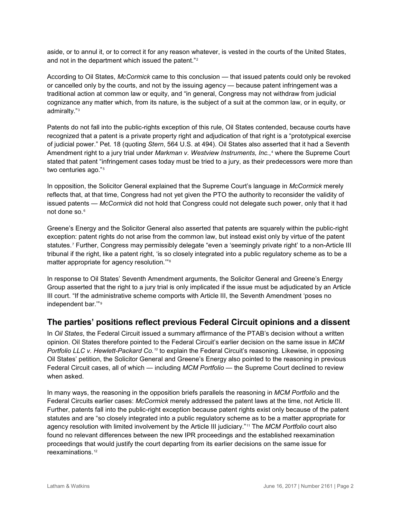aside, or to annul it, or to correct it for any reason whatever, is vested in the courts of the United States, and not in the department which issued the patent."[2](#page-3-1)

According to Oil States, *McCormick* came to this conclusion — that issued patents could only be revoked or cancelled only by the courts, and not by the issuing agency — because patent infringement was a traditional action at common law or equity, and "in general, Congress may not withdraw from judicial cognizance any matter which, from its nature, is the subject of a suit at the common law, or in equity, or admiralty."[3](#page-3-2)

Patents do not fall into the public-rights exception of this rule, Oil States contended, because courts have recognized that a patent is a private property right and adjudication of that right is a "prototypical exercise of judicial power." Pet. 18 (quoting *Stern*, 564 U.S. at 494). Oil States also asserted that it had a Seventh Amendment right to a jury trial under *Markman v. Westview Instruments, Inc.*,<sup>[4](#page-3-3)</sup> where the Supreme Court stated that patent "infringement cases today must be tried to a jury, as their predecessors were more than two centuries ago."<sup>[5](#page-3-4)</sup>

In opposition, the Solicitor General explained that the Supreme Court's language in *McCormick* merely reflects that, at that time, Congress had not yet given the PTO the authority to reconsider the validity of issued patents — *McCormick* did not hold that Congress could not delegate such power, only that it had not done so.<sup>[6](#page-3-5)</sup>

Greene's Energy and the Solicitor General also asserted that patents are squarely within the public-right exception: patent rights do not arise from the common law, but instead exist only by virtue of the patent statutes.[7](#page-3-6) Further, Congress may permissibly delegate "even a 'seemingly private right' to a non-Article III tribunal if the right, like a patent right, 'is so closely integrated into a public regulatory scheme as to be a matter appropriate for agency resolution.'"[8](#page-3-7)

In response to Oil States' Seventh Amendment arguments, the Solicitor General and Greene's Energy Group asserted that the right to a jury trial is only implicated if the issue must be adjudicated by an Article III court. "If the administrative scheme comports with Article III, the Seventh Amendment 'poses no independent bar.'"[9](#page-3-8)

# **The parties' positions reflect previous Federal Circuit opinions and a dissent**

In *Oil States*, the Federal Circuit issued a summary affirmance of the PTAB's decision without a written opinion. Oil States therefore pointed to the Federal Circuit's earlier decision on the same issue in *MCM Portfolio LLC v. Hewlett-Packard Co.[10](#page-3-9)* to explain the Federal Circuit's reasoning. Likewise, in opposing Oil States' petition, the Solicitor General and Greene's Energy also pointed to the reasoning in previous Federal Circuit cases, all of which — including *MCM Portfolio* — the Supreme Court declined to review when asked.

In many ways, the reasoning in the opposition briefs parallels the reasoning in *MCM Portfolio* and the Federal Circuits earlier cases: *McCormick* merely addressed the patent laws at the time, not Article III. Further, patents fall into the public-right exception because patent rights exist only because of the patent statutes and are "so closely integrated into a public regulatory scheme as to be a matter appropriate for agency resolution with limited involvement by the Article III judiciary."[11](#page-3-10) The *MCM Portfolio* court also found no relevant differences between the new IPR proceedings and the established reexamination proceedings that would justify the court departing from its earlier decisions on the same issue for reexaminations. [12](#page-4-0)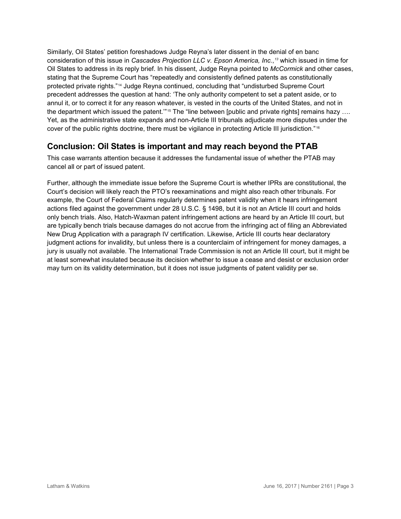Similarly, Oil States' petition foreshadows Judge Reyna's later dissent in the denial of en banc consideration of this issue in *Cascades Projection LLC v. Epson America, Inc.*, *[13](#page-4-1)* which issued in time for Oil States to address in its reply brief. In his dissent, Judge Reyna pointed to *McCormick* and other cases, stating that the Supreme Court has "repeatedly and consistently defined patents as constitutionally protected private rights."[14](#page-4-2) Judge Reyna continued, concluding that "undisturbed Supreme Court precedent addresses the question at hand: 'The only authority competent to set a patent aside, or to annul it, or to correct it for any reason whatever, is vested in the courts of the United States, and not in the department which issued the patent."<sup>[15](#page-4-3)</sup> The "line between [public and private rights] remains hazy .... Yet, as the administrative state expands and non-Article III tribunals adjudicate more disputes under the cover of the public rights doctrine, there must be vigilance in protecting Article III jurisdiction." [16](#page-4-4)

# **Conclusion: Oil States is important and may reach beyond the PTAB**

This case warrants attention because it addresses the fundamental issue of whether the PTAB may cancel all or part of issued patent.

Further, although the immediate issue before the Supreme Court is whether IPRs are constitutional, the Court's decision will likely reach the PTO's reexaminations and might also reach other tribunals. For example, the Court of Federal Claims regularly determines patent validity when it hears infringement actions filed against the government under 28 U.S.C. § 1498, but it is not an Article III court and holds only bench trials. Also, Hatch-Waxman patent infringement actions are heard by an Article III court, but are typically bench trials because damages do not accrue from the infringing act of filing an Abbreviated New Drug Application with a paragraph IV certification. Likewise, Article III courts hear declaratory judgment actions for invalidity, but unless there is a counterclaim of infringement for money damages, a jury is usually not available. The International Trade Commission is not an Article III court, but it might be at least somewhat insulated because its decision whether to issue a cease and desist or exclusion order may turn on its validity determination, but it does not issue judgments of patent validity per se.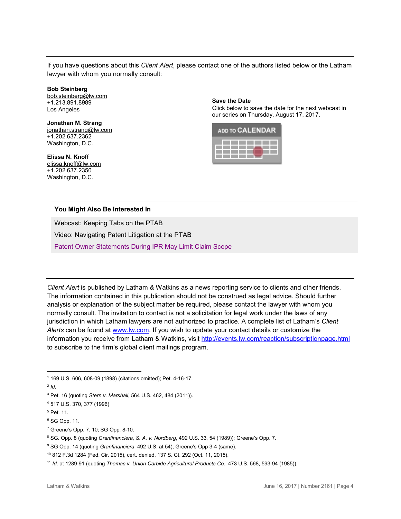If you have questions about this *Client Alert*, please contact one of the authors listed below or the Latham lawyer with whom you normally consult:

#### **[Bob Steinberg](https://www.lw.com/people/bob-steinberg)**

[bob.steinberg@lw.com](mailto:bob.steinberg@lw.com) +1.213.891.8989 Los Angeles

#### **[Jonathan M. Strang](https://www.lw.com/people/jonathan-strang)** [jonathan.strang@lw.com](mailto:jonathan.strang@lw.com) +1.202.637.2362 Washington, D.C.

**[Elissa N. Knoff](https://www.lw.com/people/elissa-knoff)** [elissa.knoff@lw.com](mailto:elissa.knoff@lw.com) +1.202.637.2350 Washington, D.C.

**Save the Date**

Click below to save the date for the next webcast in our series on Thursday, August 17, 2017.



### **You Might Also Be Interested In**

Webcast: [Keeping Tabs on the PTAB](https://www.lw.com/webcasts/keeping-tabs-PTAB-webcast-may-17-series)

Video: [Navigating Patent Litigation at the PTAB](https://www.lw.com/videos/navigating-patent-litigation-at-the-PTAB)

[Patent Owner Statements During IPR May Limit Claim Scope](https://www.lw.com/thoughtLeadership/patent-owner-statements-IPR-limit-claim-scope)

*Client Alert* is published by Latham & Watkins as a news reporting service to clients and other friends. The information contained in this publication should not be construed as legal advice. Should further analysis or explanation of the subject matter be required, please contact the lawyer with whom you normally consult. The invitation to contact is not a solicitation for legal work under the laws of any jurisdiction in which Latham lawyers are not authorized to practice. A complete list of Latham's *Client Alerts* can be found at [www.lw.com.](http://www.lw.com/) If you wish to update your contact details or customize the information you receive from Latham & Watkins, visit<http://events.lw.com/reaction/subscriptionpage.html> to subscribe to the firm's global client mailings program.

<sup>1</sup> 169 U.S. 606, 608-09 (1898) (citations omitted); Pet. 4-16-17.  $\overline{a}$ 

<span id="page-3-1"></span><span id="page-3-0"></span><sup>2</sup> *Id*.

<span id="page-3-2"></span><sup>3</sup> Pet. 16 (quoting *Stern v. Marshall*, 564 U.S. 462, 484 (2011)).

<span id="page-3-3"></span><sup>4</sup> 517 U.S. 370, 377 (1996)

<span id="page-3-4"></span><sup>5</sup> Pet. 11.

<span id="page-3-5"></span><sup>6</sup> SG Opp. 11.

<span id="page-3-6"></span><sup>7</sup> Greene's Opp. 7. 10; SG Opp. 8-10.

<span id="page-3-7"></span><sup>8</sup> SG. Opp. 8 (quoting *Granfinanciera, S. A. v. Nordberg*, 492 U.S. 33, 54 (1989)); Greene's Opp. 7.

<span id="page-3-8"></span><sup>&</sup>lt;sup>9</sup> SG Opp. 14 (quoting *Granfinanciera*, 492 U.S. at 54); Greene's Opp 3-4 (same).

<span id="page-3-9"></span><sup>10</sup> 812 F.3d 1284 (Fed. Cir. 2015), cert. denied, 137 S. Ct. 292 (Oct. 11, 2015).

<span id="page-3-10"></span><sup>11</sup> *Id*. at 1289-91 (quoting *Thomas v. Union Carbide Agricultural Products Co*., 473 U.S. 568, 593-94 (1985)).